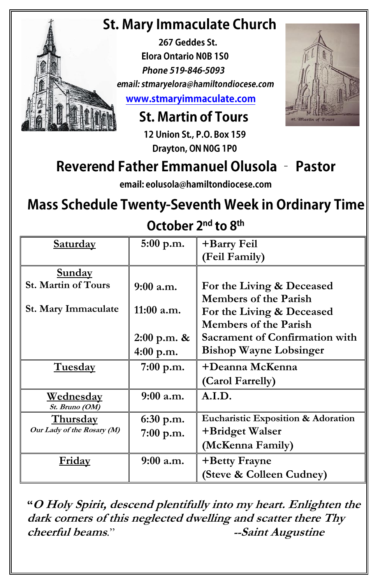# **St. Mary Immaculate Church**

267 Geddes St. **Elora Ontario NOB 1SO** Phone 519-846-5093 email: stmaryelora@hamiltondiocese.com www.stmaryimmaculate.com

**St. Martin of Tours** 

12 Union St., P.O. Box 159 Drayton, ON N0G 1P0

# Reverend Father Emmanuel Olusola - Pastor

email: eolusola@hamiltondiocese.com

## **Mass Schedule Twenty-Seventh Week in Ordinary Time**

October 2<sup>nd</sup> to 8<sup>th</sup>

| <b>Saturday</b>            | $5:00$ p.m.   | +Barry Feil                           |  |
|----------------------------|---------------|---------------------------------------|--|
|                            |               | (Feil Family)                         |  |
| <u>Sunday</u>              |               |                                       |  |
| <b>St. Martin of Tours</b> | $9:00$ a.m.   | For the Living & Deceased             |  |
|                            |               | <b>Members of the Parish</b>          |  |
| St. Mary Immaculate        | 11:00 a.m.    | For the Living & Deceased             |  |
|                            |               | <b>Members of the Parish</b>          |  |
|                            | $2:00$ p.m. & | <b>Sacrament of Confirmation with</b> |  |
|                            | 4:00 p.m.     | <b>Bishop Wayne Lobsinger</b>         |  |
| <b>Tuesday</b>             | $7:00$ p.m.   | +Deanna McKenna                       |  |
|                            |               | (Carol Farrelly)                      |  |
| <u>Wednesday</u>           | 9:00 a.m.     | A.I.D.                                |  |
| St. Bruno (OM)             |               |                                       |  |
| <b>Thursday</b>            | 6:30 p.m.     | Eucharistic Exposition & Adoration    |  |
| Our Lady of the Rosary (M) | $7:00$ p.m.   | +Bridget Walser                       |  |
|                            |               | (McKenna Family)                      |  |
| <u>Fridav</u>              | $9:00$ a.m.   | +Betty Frayne                         |  |
|                            |               | (Steve & Colleen Cudney)              |  |

**"<sup>O</sup> Holy Spirit, descend plentifully into my heart. Enlighten the dark corners of this neglected dwelling and scatter there Thy cheerful beams***.*" **--Saint Augustine**

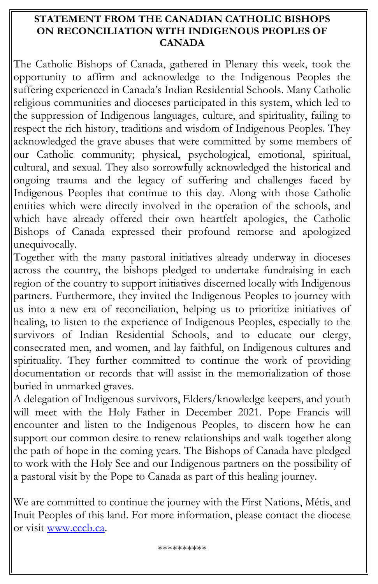### **STATEMENT FROM THE CANADIAN CATHOLIC BISHOPS ON RECONCILIATION WITH INDIGENOUS PEOPLES OF CANADA**

The Catholic Bishops of Canada, gathered in Plenary this week, took the opportunity to affirm and acknowledge to the Indigenous Peoples the suffering experienced in Canada's Indian Residential Schools. Many Catholic religious communities and dioceses participated in this system, which led to the suppression of Indigenous languages, culture, and spirituality, failing to respect the rich history, traditions and wisdom of Indigenous Peoples. They acknowledged the grave abuses that were committed by some members of our Catholic community; physical, psychological, emotional, spiritual, cultural, and sexual. They also sorrowfully acknowledged the historical and ongoing trauma and the legacy of suffering and challenges faced by Indigenous Peoples that continue to this day. Along with those Catholic entities which were directly involved in the operation of the schools, and which have already offered their own heartfelt apologies, the Catholic Bishops of Canada expressed their profound remorse and apologized unequivocally.

Together with the many pastoral initiatives already underway in dioceses across the country, the bishops pledged to undertake fundraising in each region of the country to support initiatives discerned locally with Indigenous partners. Furthermore, they invited the Indigenous Peoples to journey with us into a new era of reconciliation, helping us to prioritize initiatives of healing, to listen to the experience of Indigenous Peoples, especially to the survivors of Indian Residential Schools, and to educate our clergy, consecrated men, and women, and lay faithful, on Indigenous cultures and spirituality. They further committed to continue the work of providing documentation or records that will assist in the memorialization of those buried in unmarked graves.

A delegation of Indigenous survivors, Elders/knowledge keepers, and youth will meet with the Holy Father in December 2021. Pope Francis will encounter and listen to the Indigenous Peoples, to discern how he can support our common desire to renew relationships and walk together along the path of hope in the coming years. The Bishops of Canada have pledged to work with the Holy See and our Indigenous partners on the possibility of a pastoral visit by the Pope to Canada as part of this healing journey.

We are committed to continue the journey with the First Nations, Métis, and Inuit Peoples of this land. For more information, please contact the diocese or visit [www.cccb.ca.](http://www.cccb.ca/)